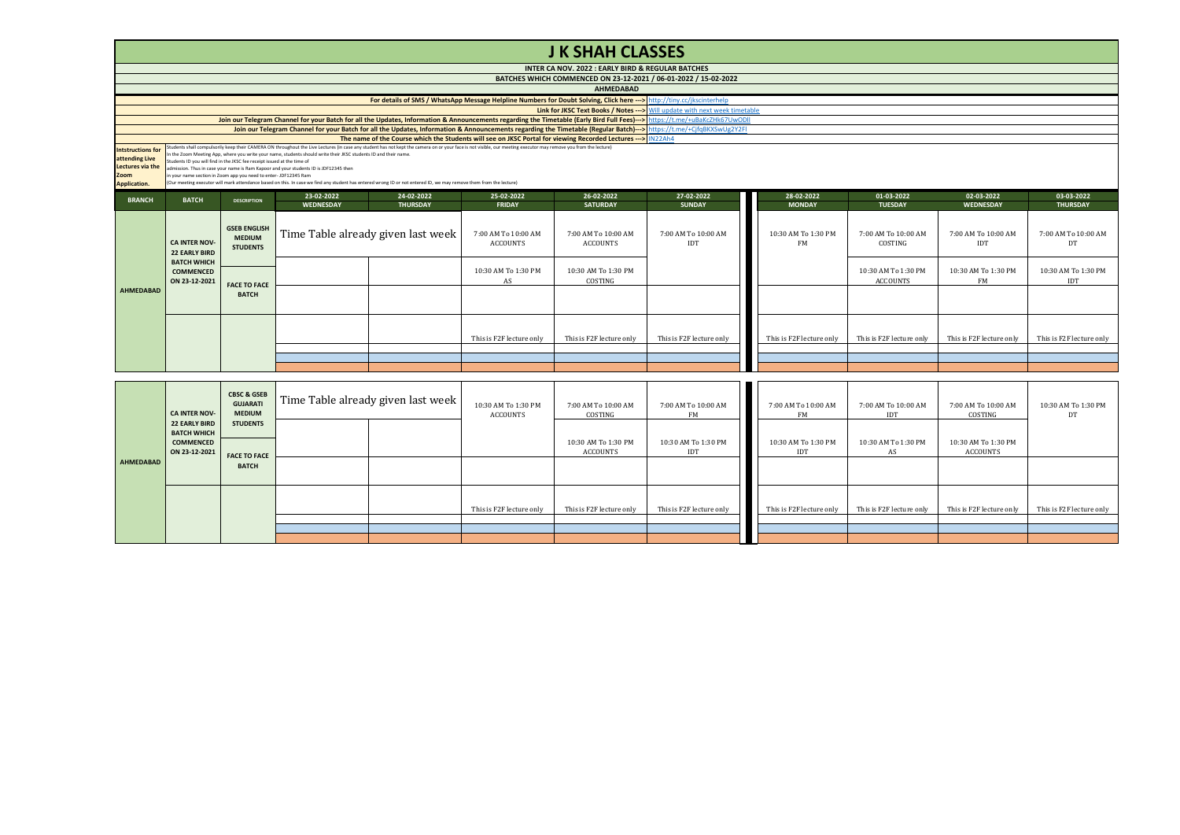|                                                                                               | <b>J K SHAH CLASSES</b>                                                                                                                                                                                                                                                                                                                                                                                                                                                                                                                                                                                                                                                                                                                            |                                                         |                         |                                    |                                        |                                                                 |                                   |  |                                  |                                        |                                  |                               |
|-----------------------------------------------------------------------------------------------|----------------------------------------------------------------------------------------------------------------------------------------------------------------------------------------------------------------------------------------------------------------------------------------------------------------------------------------------------------------------------------------------------------------------------------------------------------------------------------------------------------------------------------------------------------------------------------------------------------------------------------------------------------------------------------------------------------------------------------------------------|---------------------------------------------------------|-------------------------|------------------------------------|----------------------------------------|-----------------------------------------------------------------|-----------------------------------|--|----------------------------------|----------------------------------------|----------------------------------|-------------------------------|
|                                                                                               |                                                                                                                                                                                                                                                                                                                                                                                                                                                                                                                                                                                                                                                                                                                                                    |                                                         |                         |                                    |                                        | INTER CA NOV. 2022 : EARLY BIRD & REGULAR BATCHES               |                                   |  |                                  |                                        |                                  |                               |
|                                                                                               |                                                                                                                                                                                                                                                                                                                                                                                                                                                                                                                                                                                                                                                                                                                                                    |                                                         |                         |                                    |                                        | BATCHES WHICH COMMENCED ON 23-12-2021 / 06-01-2022 / 15-02-2022 |                                   |  |                                  |                                        |                                  |                               |
|                                                                                               | <b>AHMEDABAD</b>                                                                                                                                                                                                                                                                                                                                                                                                                                                                                                                                                                                                                                                                                                                                   |                                                         |                         |                                    |                                        |                                                                 |                                   |  |                                  |                                        |                                  |                               |
|                                                                                               | For details of SMS / WhatsApp Message Helpline Numbers for Doubt Solving, Click here ---> http://tiny.cc/jkscinterhelp                                                                                                                                                                                                                                                                                                                                                                                                                                                                                                                                                                                                                             |                                                         |                         |                                    |                                        |                                                                 |                                   |  |                                  |                                        |                                  |                               |
|                                                                                               | Link for JKSC Text Books / Notes --- > Will update with next week timetable                                                                                                                                                                                                                                                                                                                                                                                                                                                                                                                                                                                                                                                                        |                                                         |                         |                                    |                                        |                                                                 |                                   |  |                                  |                                        |                                  |                               |
|                                                                                               | Join our Telegram Channel for your Batch for all the Updates, Information & Announcements regarding the Timetable (Early Bird Full Fees)---> https://t.me/+uBaKcZHk67UwODII                                                                                                                                                                                                                                                                                                                                                                                                                                                                                                                                                                        |                                                         |                         |                                    |                                        |                                                                 |                                   |  |                                  |                                        |                                  |                               |
|                                                                                               | Join our Telegram Channel for your Batch for all the Updates, Information & Announcements regarding the Timetable (Regular Batch)---> https://t.me/+CjfqBKXSwUg2Y2FI<br>The name of the Course which the Students will see on JKSC Portal for viewing Recorded Lectures --- > IN22Ah4                                                                                                                                                                                                                                                                                                                                                                                                                                                              |                                                         |                         |                                    |                                        |                                                                 |                                   |  |                                  |                                        |                                  |                               |
| <b>Intstructions for</b><br>attending Live<br>Lectures via the<br>Zoom<br><b>Application.</b> | Students shall compulsorily keep their CAMERA ON throughout the Live Lectures (in case any student has not kept the camera on or your face is not visible, our meeting executor may remove you from the lecture)<br>In the Zoom Meeting App, where you write your name, students should write their JKSC students ID and their name.<br>Students ID you will find in the JKSC fee receipt issued at the time of<br>admission. Thus in case your name is Ram Kapoor and your students ID is JDF12345 then<br>in your name section in Zoom app you need to enter- JDF12345 Ram<br>(Our meeting executor will mark attendance based on this. In case we find any student has entered wrong ID or not entered ID, we may remove them from the lecture) |                                                         |                         |                                    |                                        |                                                                 |                                   |  |                                  |                                        |                                  |                               |
| <b>BRANCH</b>                                                                                 | <b>BATCH</b>                                                                                                                                                                                                                                                                                                                                                                                                                                                                                                                                                                                                                                                                                                                                       | <b>DESCRIPTION</b>                                      | 23-02-2022<br>WEDNESDAY | 24-02-2022<br><b>THURSDAY</b>      | 25-02-2022<br><b>FRIDAY</b>            | 26-02-2022<br><b>SATURDAY</b>                                   | 27-02-2022<br><b>SUNDAY</b>       |  | 28-02-2022<br><b>MONDAY</b>      | 01-03-2022<br><b>TUESDAY</b>           | 02-03-2022<br>WEDNESDAY          | 03-03-2022<br><b>THURSDAY</b> |
|                                                                                               | <b>CA INTER NOV-</b><br><b>22 EARLY BIRD</b>                                                                                                                                                                                                                                                                                                                                                                                                                                                                                                                                                                                                                                                                                                       | <b>GSEB ENGLISH</b><br><b>MEDIUM</b><br><b>STUDENTS</b> |                         | Time Table already given last week | 7:00 AM To 10:00 AM<br><b>ACCOUNTS</b> | 7:00 AM To 10:00 AM<br><b>ACCOUNTS</b>                          | 7:00 AM To 10:00 AM<br><b>IDT</b> |  | 10:30 AM To 1:30 PM<br><b>FM</b> | 7:00 AM To 10:00 AM<br>COSTING         | 7:00 AM To 10:00 AM<br>IDT       | 7:00 AM To 10:00 AM<br>DT     |
|                                                                                               | <b>BATCH WHICH</b><br><b>COMMENCED</b><br>ON 23-12-2021                                                                                                                                                                                                                                                                                                                                                                                                                                                                                                                                                                                                                                                                                            |                                                         |                         |                                    | 10:30 AM To 1:30 PM<br>AS              | 10:30 AM To 1:30 PM<br>COSTING                                  |                                   |  |                                  | 10:30 AM To 1:30 PM<br><b>ACCOUNTS</b> | 10:30 AM To 1:30 PM<br><b>FM</b> | 10:30 AM To 1:30 PM<br>IDT    |
| <b>AHMEDABAD</b>                                                                              |                                                                                                                                                                                                                                                                                                                                                                                                                                                                                                                                                                                                                                                                                                                                                    | <b>FACE TO FACE</b><br><b>BATCH</b>                     |                         |                                    |                                        |                                                                 |                                   |  |                                  |                                        |                                  |                               |
|                                                                                               |                                                                                                                                                                                                                                                                                                                                                                                                                                                                                                                                                                                                                                                                                                                                                    |                                                         |                         |                                    | This is F2F lecture only               | This is F2F lecture only                                        | This is F2F lecture only          |  | This is F2F lecture only         | This is F2F lecture only               | This is F2F lecture only         | This is F2F lecture only      |
|                                                                                               |                                                                                                                                                                                                                                                                                                                                                                                                                                                                                                                                                                                                                                                                                                                                                    |                                                         |                         |                                    |                                        |                                                                 |                                   |  |                                  |                                        |                                  |                               |
|                                                                                               |                                                                                                                                                                                                                                                                                                                                                                                                                                                                                                                                                                                                                                                                                                                                                    |                                                         |                         |                                    |                                        |                                                                 |                                   |  |                                  |                                        |                                  |                               |
|                                                                                               |                                                                                                                                                                                                                                                                                                                                                                                                                                                                                                                                                                                                                                                                                                                                                    |                                                         |                         |                                    |                                        |                                                                 |                                   |  |                                  |                                        |                                  |                               |

|           | <b>CA INTER NOV-</b><br><b>22 EARLY BIRD</b>            | <b>CBSC &amp; GSEB</b><br><b>GUJARATI</b><br><b>MEDIUM</b> | Time Table already given last week | 10:30 AM To 1:30 PM<br>ACCOUNTS | 7:00 AM To 10:00 AM<br>COSTING  | 7:00 AM To 10:00 AM<br>FM  | 7:00 AM To 10:00 AM<br>FM  | 7:00 AM To 10:00 AM<br>IDT | 7:00 AM To 10:00 AM<br>COSTING  | 10:30 AM To 1:30 PM<br>DT |
|-----------|---------------------------------------------------------|------------------------------------------------------------|------------------------------------|---------------------------------|---------------------------------|----------------------------|----------------------------|----------------------------|---------------------------------|---------------------------|
|           | <b>BATCH WHICH</b><br><b>COMMENCED</b><br>ON 23-12-2021 | <b>STUDENTS</b><br><b>FACE TO FACE</b>                     |                                    |                                 | 10:30 AM To 1:30 PM<br>ACCOUNTS | 10:30 AM To 1:30 PM<br>IDT | 10:30 AM To 1:30 PM<br>IDT | 10:30 AM To 1:30 PM<br>AS  | 10:30 AM To 1:30 PM<br>ACCOUNTS |                           |
| AHMEDABAD |                                                         | <b>BATCH</b>                                               |                                    |                                 |                                 |                            |                            |                            |                                 |                           |
|           |                                                         |                                                            |                                    | This is F2F lecture only        | This is F2F lecture only        | This is F2F lecture only   | This is F2F lecture only   | This is F2F lecture only   | This is F2F lecture only        | This is F2F lecture only  |
|           |                                                         |                                                            |                                    |                                 |                                 |                            |                            |                            |                                 |                           |
|           |                                                         |                                                            |                                    |                                 |                                 |                            |                            |                            |                                 |                           |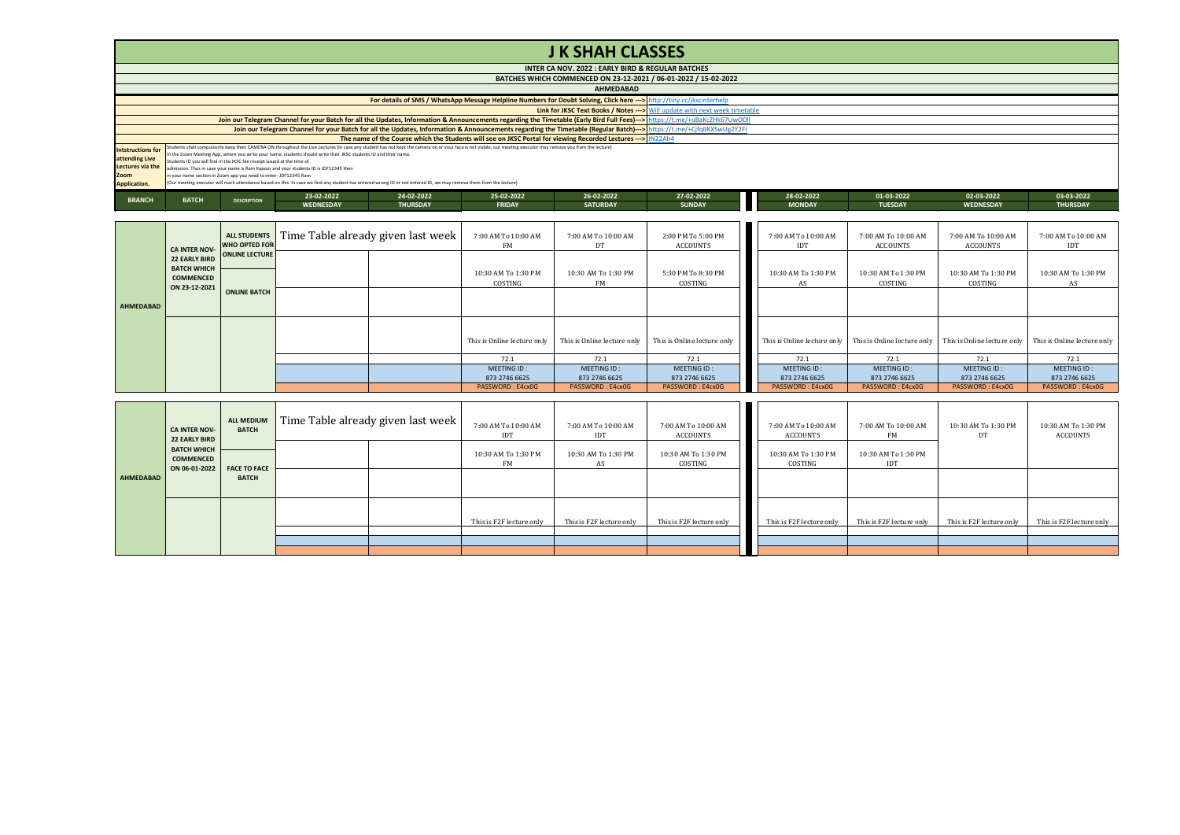## **J K SHAH CLASSES**

|                     | INTER CA NOV. 2022 : EARLY BIRD & REGULAR BATCHES                                                                                                                                                                                                                                                                                               |                                                                         |                                                                                                                                                                    |                 |               |                                                                                                                        |               |               |                |            |                 |  |  |
|---------------------|-------------------------------------------------------------------------------------------------------------------------------------------------------------------------------------------------------------------------------------------------------------------------------------------------------------------------------------------------|-------------------------------------------------------------------------|--------------------------------------------------------------------------------------------------------------------------------------------------------------------|-----------------|---------------|------------------------------------------------------------------------------------------------------------------------|---------------|---------------|----------------|------------|-----------------|--|--|
|                     | BATCHES WHICH COMMENCED ON 23-12-2021 / 06-01-2022 / 15-02-2022                                                                                                                                                                                                                                                                                 |                                                                         |                                                                                                                                                                    |                 |               |                                                                                                                        |               |               |                |            |                 |  |  |
|                     | <b>AHMEDABAD</b>                                                                                                                                                                                                                                                                                                                                |                                                                         |                                                                                                                                                                    |                 |               |                                                                                                                        |               |               |                |            |                 |  |  |
|                     |                                                                                                                                                                                                                                                                                                                                                 |                                                                         |                                                                                                                                                                    |                 |               | For details of SMS / WhatsApp Message Helpline Numbers for Doubt Solving, Click here ---> http://tiny.cc/jkscinterhelp |               |               |                |            |                 |  |  |
|                     | <b>Link for JKSC Text Books / Notes ---&gt;</b> Will update with next week timetable                                                                                                                                                                                                                                                            |                                                                         |                                                                                                                                                                    |                 |               |                                                                                                                        |               |               |                |            |                 |  |  |
|                     | Join our Telegram Channel for your Batch for all the Updates, Information & Announcements regarding the Timetable (Early Bird Full Fees)---> https://t.me/+uBaKcZHk67UwODII                                                                                                                                                                     |                                                                         |                                                                                                                                                                    |                 |               |                                                                                                                        |               |               |                |            |                 |  |  |
|                     | Join our Telegram Channel for your Batch for all the Updates, Information & Announcements regarding the Timetable (Regular Batch)---> https://t.me/+CjfqBKXSwUg2Y2FI                                                                                                                                                                            |                                                                         |                                                                                                                                                                    |                 |               |                                                                                                                        |               |               |                |            |                 |  |  |
|                     | The name of the Course which the Students will see on JKSC Portal for viewing Recorded Lectures --- > IN22Ah4<br>Intstructions for Students shall compulsorily keep their CAMERA ON throughout the Live Lectures (in case any student has not kept the camera on or your face is not visible, our meeting executor may remove you from the lect |                                                                         |                                                                                                                                                                    |                 |               |                                                                                                                        |               |               |                |            |                 |  |  |
|                     |                                                                                                                                                                                                                                                                                                                                                 |                                                                         |                                                                                                                                                                    |                 |               |                                                                                                                        |               |               |                |            |                 |  |  |
| attending Live      |                                                                                                                                                                                                                                                                                                                                                 | Students ID you will find in the JKSC fee receipt issued at the time of | In the Zoom Meeting App, where you write your name, students should write their JKSC students ID and their name.                                                   |                 |               |                                                                                                                        |               |               |                |            |                 |  |  |
| Lectures via the    |                                                                                                                                                                                                                                                                                                                                                 |                                                                         | admission. Thus in case your name is Ram Kapoor and your students ID is JDF12345 then                                                                              |                 |               |                                                                                                                        |               |               |                |            |                 |  |  |
| Zoom                |                                                                                                                                                                                                                                                                                                                                                 | in your name section in Zoom app you need to enter- JDF12345 Ram        |                                                                                                                                                                    |                 |               |                                                                                                                        |               |               |                |            |                 |  |  |
| <b>Application.</b> |                                                                                                                                                                                                                                                                                                                                                 |                                                                         | (Our meeting executor will mark attendance based on this. In case we find any student has entered wrong ID or not entered ID, we may remove them from the lecture) |                 |               |                                                                                                                        |               |               |                |            |                 |  |  |
| <b>BRANCH</b>       | <b>BATCH</b>                                                                                                                                                                                                                                                                                                                                    | <b>DESCRIPTION</b>                                                      | 23-02-2022                                                                                                                                                         | 24-02-2022      | 25-02-2022    | 26-02-2022                                                                                                             | 27-02-2022    | 28-02-2022    | 01-03-2022     | 02-03-2022 | 03-03-2022      |  |  |
|                     |                                                                                                                                                                                                                                                                                                                                                 |                                                                         | WEDNESDAY                                                                                                                                                          | <b>THURSDAY</b> | <b>FRIDAY</b> | <b>SATURDAY</b>                                                                                                        | <b>SUNDAY</b> | <b>MONDAY</b> | <b>TUESDAY</b> | WEDNESDAY  | <b>THURSDAY</b> |  |  |

|                  | <b>CA INTER NOV-</b>                                                            | ALL STUDENTS<br><b>WHO OPTED FOR</b> | Time Table already given last week | 7:00 AM To 10:00 AM<br>FM      | 7:00 AM To 10:00 AM<br>DT    | 2:00 PM To 5:00 PM<br>ACCOUNTS | 7:00 AM To 10:00 AM<br>IDT   | 7:00 AM To 10:00 AM<br>ACCOUNTS | 7:00 AM To 10:00 AM<br>ACCOUNTS | 7:00 AM To 10:00 AM<br>IDT   |
|------------------|---------------------------------------------------------------------------------|--------------------------------------|------------------------------------|--------------------------------|------------------------------|--------------------------------|------------------------------|---------------------------------|---------------------------------|------------------------------|
|                  | <b>22 EARLY BIRD</b><br><b>BATCH WHICH</b><br><b>COMMENCED</b><br>ON 23-12-2021 | <b>ONLINE LECTURE</b>                |                                    | 10:30 AM To 1:30 PM<br>COSTING | 10:30 AM To 1:30 PM<br>FM    | 5:30 PM To 8:30 PM<br>COSTING  | 10:30 AM To 1:30 PM          | 10:30 AM To 1:30 PM<br>COSTING  | 10:30 AM To 1:30 PM<br>COSTING  | 10:30 AM To 1:30 PM<br>AS    |
| <b>AHMEDABAD</b> |                                                                                 | <b>ONLINE BATCH</b>                  |                                    |                                |                              |                                |                              |                                 |                                 |                              |
|                  |                                                                                 |                                      |                                    | This is Online lecture only    | This is Online lecture only  | This is Online lecture only    | This is Online lecture only  | This is Online lecture only     | This is Online lecture only     | This is Online lecture only  |
|                  |                                                                                 |                                      |                                    | 72.1                           | 72.1                         | 72.1                           | 72.1                         | 72.1                            | 72.1                            | 72.1                         |
|                  |                                                                                 |                                      |                                    | MEETING ID:<br>873 2746 6625   | MEETING ID:<br>873 2746 6625 | MEETING ID:<br>873 2746 6625   | MEETING ID:<br>873 2746 6625 | MEETING ID:<br>873 2746 6625    | MEETING ID:<br>873 2746 6625    | MEETING ID:<br>873 2746 6625 |
|                  |                                                                                 |                                      |                                    | PASSWORD: E4cx0G               | PASSWORD: E4cx0G             | PASSWORD: E4cx0G               | PASSWORD: E4cx0G             | PASSWORD: E4cx0G                | PASSWORD: E4cx0G                | PASSWORD: E4cx0G             |

|                  | <b>CA INTER NOV-</b><br>22 EARLY BIRD                   | <b>ALL MEDIUM</b><br><b>BATCH</b> | Time Table already given last week | 7:00 AM To 10:00 AM<br>IDT       | 7:00 AM To 10:00 AM<br><b>IDT</b> | 7:00 AM To 10:00 AM<br>ACCOUNTS | 7:00 AM To 10:00 AM<br>ACCOUNTS | 7:00 AM To 10:00 AM<br>FM  | 10:30 AM To 1:30 PM<br>DT | 10:30 AM To 1:30 PM<br>ACCOUNTS |
|------------------|---------------------------------------------------------|-----------------------------------|------------------------------------|----------------------------------|-----------------------------------|---------------------------------|---------------------------------|----------------------------|---------------------------|---------------------------------|
|                  | <b>BATCH WHICH</b><br><b>COMMENCED</b><br>ON 06-01-2022 | <b>FACE TO FACE</b>               |                                    | 10:30 AM To 1:30 PM<br><b>FM</b> | 10:30 AM To 1:30 PM<br>AS         | 10:30 AM To 1:30 PM<br>COSTING  | 10:30 AM To 1:30 PM<br>COSTING  | 10:30 AM To 1:30 PM<br>IDT |                           |                                 |
| <b>AHMEDABAD</b> |                                                         | <b>BATCH</b>                      |                                    |                                  |                                   |                                 |                                 |                            |                           |                                 |
|                  |                                                         |                                   |                                    | This is F2F lecture only         | This is F2F lecture only          | This is F2F lecture only        | This is F2F lecture only        | This is F2F lecture only   | This is F2F lecture only  | This is F2F lecture only        |
|                  |                                                         |                                   |                                    |                                  |                                   |                                 |                                 |                            |                           |                                 |
|                  |                                                         |                                   |                                    |                                  |                                   |                                 |                                 |                            |                           |                                 |
|                  |                                                         |                                   |                                    |                                  |                                   |                                 |                                 |                            |                           |                                 |